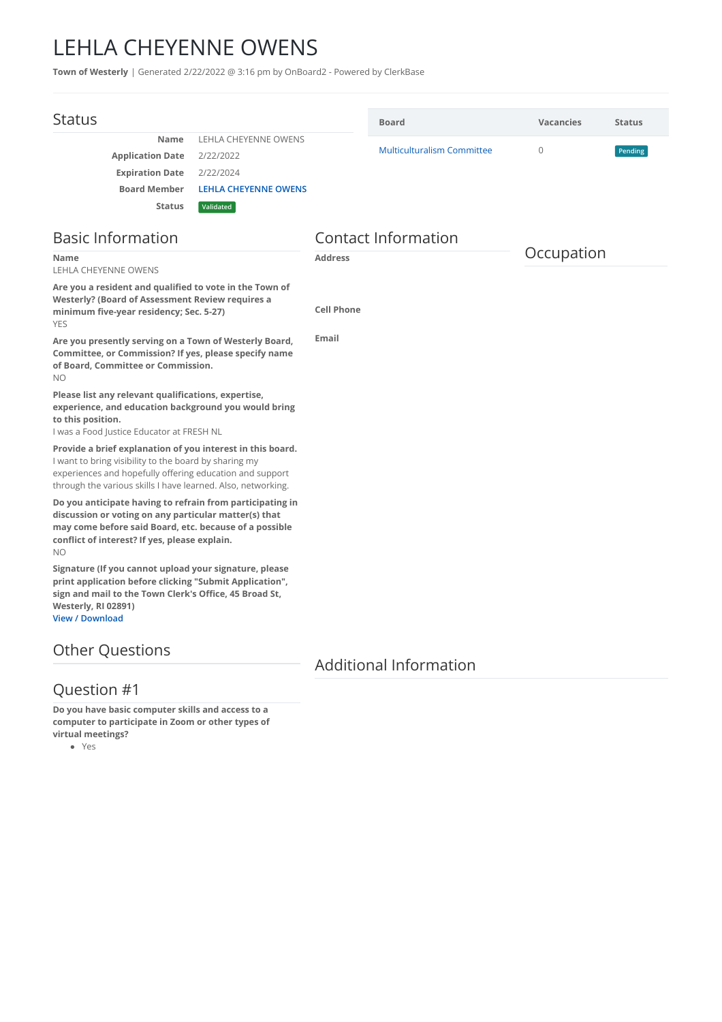## LEHLA CHEYENNE OWENS

**Town of Westerly** | Generated 2/22/2022 @ 3:16 pm by OnBoard2 - Powered by ClerkBase

| <b>Status</b>                                                                                                                                                                                                                                   |                             |                            | <b>Board</b>                      | <b>Vacancies</b> | <b>Status</b> |
|-------------------------------------------------------------------------------------------------------------------------------------------------------------------------------------------------------------------------------------------------|-----------------------------|----------------------------|-----------------------------------|------------------|---------------|
| Name                                                                                                                                                                                                                                            | <b>LEHLA CHEYENNE OWENS</b> |                            |                                   |                  |               |
| <b>Application Date</b>                                                                                                                                                                                                                         | 2/22/2022                   |                            | <b>Multiculturalism Committee</b> | $\Omega$         | Pending       |
| <b>Expiration Date</b>                                                                                                                                                                                                                          | 2/22/2024                   |                            |                                   |                  |               |
| <b>Board Member</b>                                                                                                                                                                                                                             | <b>LEHLA CHEYENNE OWENS</b> |                            |                                   |                  |               |
| <b>Status</b>                                                                                                                                                                                                                                   | Validated                   |                            |                                   |                  |               |
| <b>Basic Information</b>                                                                                                                                                                                                                        |                             | <b>Contact Information</b> |                                   |                  |               |
| <b>Name</b><br><b>LEHLA CHEYENNE OWENS</b>                                                                                                                                                                                                      |                             | <b>Address</b>             |                                   | Occupation       |               |
| Are you a resident and qualified to vote in the Town of                                                                                                                                                                                         |                             |                            |                                   |                  |               |
| Westerly? (Board of Assessment Review requires a<br>minimum five-year residency; Sec. 5-27)<br><b>YES</b>                                                                                                                                       |                             | <b>Cell Phone</b>          |                                   |                  |               |
| Are you presently serving on a Town of Westerly Board,<br>Committee, or Commission? If yes, please specify name<br>of Board, Committee or Commission.<br><b>NO</b>                                                                              |                             | Email                      |                                   |                  |               |
| Please list any relevant qualifications, expertise,<br>experience, and education background you would bring<br>to this position.<br>I was a Food Justice Educator at FRESH NL                                                                   |                             |                            |                                   |                  |               |
| Provide a brief explanation of you interest in this board.<br>I want to bring visibility to the board by sharing my<br>experiences and hopefully offering education and support<br>through the various skills I have learned. Also, networking. |                             |                            |                                   |                  |               |
| Do you anticipate having to refrain from participating in<br>discussion or voting on any particular matter(s) that<br>may come before said Board, etc. because of a possible<br>conflict of interest? If yes, please explain.<br>NO.            |                             |                            |                                   |                  |               |
| Signature (If you cannot upload your signature, please<br>print application before clicking "Submit Application",<br>sign and mail to the Town Clerk's Office, 45 Broad St,<br>Westerly, RI 02891)<br><b>View / Download</b>                    |                             |                            |                                   |                  |               |
|                                                                                                                                                                                                                                                 |                             |                            |                                   |                  |               |

## Other Questions

## Additional Information

## Question #1

**Do you have basic computer skills and access to a computer to participate in Zoom or other types of virtual meetings?**

Yes